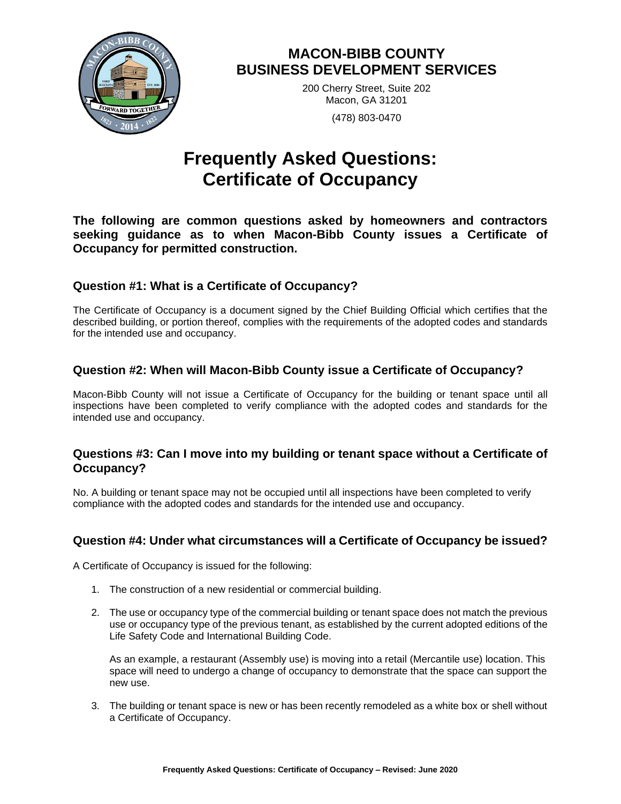

# **MACON-BIBB COUNTY BUSINESS DEVELOPMENT SERVICES**

200 Cherry Street, Suite 202 Macon, GA 31201 (478) 803-0470

# **Frequently Asked Questions: Certificate of Occupancy**

**The following are common questions asked by homeowners and contractors seeking guidance as to when Macon-Bibb County issues a Certificate of Occupancy for permitted construction.** 

# **Question #1: What is a Certificate of Occupancy?**

The Certificate of Occupancy is a document signed by the Chief Building Official which certifies that the described building, or portion thereof, complies with the requirements of the adopted codes and standards for the intended use and occupancy.

# **Question #2: When will Macon-Bibb County issue a Certificate of Occupancy?**

Macon-Bibb County will not issue a Certificate of Occupancy for the building or tenant space until all inspections have been completed to verify compliance with the adopted codes and standards for the intended use and occupancy.

#### **Questions #3: Can I move into my building or tenant space without a Certificate of Occupancy?**

No. A building or tenant space may not be occupied until all inspections have been completed to verify compliance with the adopted codes and standards for the intended use and occupancy.

# **Question #4: Under what circumstances will a Certificate of Occupancy be issued?**

A Certificate of Occupancy is issued for the following:

- 1. The construction of a new residential or commercial building.
- 2. The use or occupancy type of the commercial building or tenant space does not match the previous use or occupancy type of the previous tenant, as established by the current adopted editions of the Life Safety Code and International Building Code.

As an example, a restaurant (Assembly use) is moving into a retail (Mercantile use) location. This space will need to undergo a change of occupancy to demonstrate that the space can support the new use.

3. The building or tenant space is new or has been recently remodeled as a white box or shell without a Certificate of Occupancy.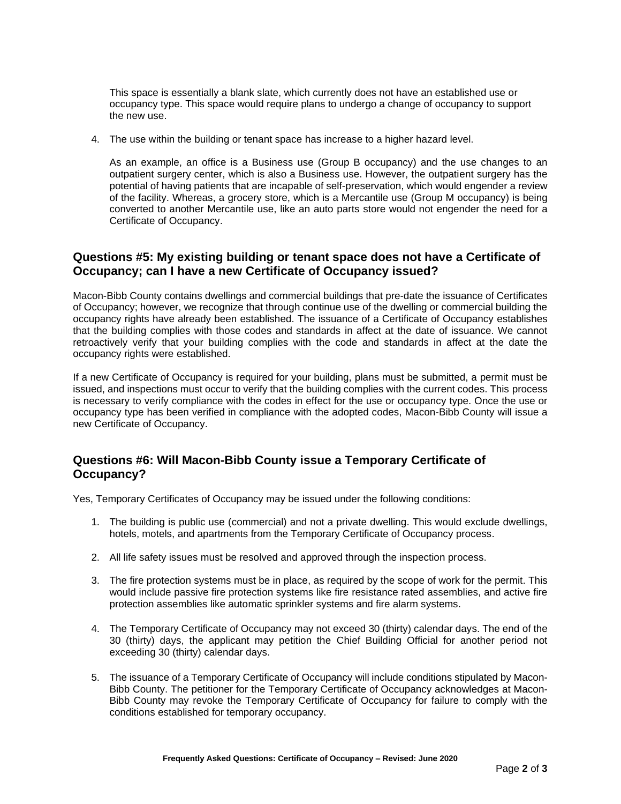This space is essentially a blank slate, which currently does not have an established use or occupancy type. This space would require plans to undergo a change of occupancy to support the new use.

4. The use within the building or tenant space has increase to a higher hazard level.

As an example, an office is a Business use (Group B occupancy) and the use changes to an outpatient surgery center, which is also a Business use. However, the outpatient surgery has the potential of having patients that are incapable of self-preservation, which would engender a review of the facility. Whereas, a grocery store, which is a Mercantile use (Group M occupancy) is being converted to another Mercantile use, like an auto parts store would not engender the need for a Certificate of Occupancy.

# **Questions #5: My existing building or tenant space does not have a Certificate of Occupancy; can I have a new Certificate of Occupancy issued?**

Macon-Bibb County contains dwellings and commercial buildings that pre-date the issuance of Certificates of Occupancy; however, we recognize that through continue use of the dwelling or commercial building the occupancy rights have already been established. The issuance of a Certificate of Occupancy establishes that the building complies with those codes and standards in affect at the date of issuance. We cannot retroactively verify that your building complies with the code and standards in affect at the date the occupancy rights were established.

If a new Certificate of Occupancy is required for your building, plans must be submitted, a permit must be issued, and inspections must occur to verify that the building complies with the current codes. This process is necessary to verify compliance with the codes in effect for the use or occupancy type. Once the use or occupancy type has been verified in compliance with the adopted codes, Macon-Bibb County will issue a new Certificate of Occupancy.

# **Questions #6: Will Macon-Bibb County issue a Temporary Certificate of Occupancy?**

Yes, Temporary Certificates of Occupancy may be issued under the following conditions:

- 1. The building is public use (commercial) and not a private dwelling. This would exclude dwellings, hotels, motels, and apartments from the Temporary Certificate of Occupancy process.
- 2. All life safety issues must be resolved and approved through the inspection process.
- 3. The fire protection systems must be in place, as required by the scope of work for the permit. This would include passive fire protection systems like fire resistance rated assemblies, and active fire protection assemblies like automatic sprinkler systems and fire alarm systems.
- 4. The Temporary Certificate of Occupancy may not exceed 30 (thirty) calendar days. The end of the 30 (thirty) days, the applicant may petition the Chief Building Official for another period not exceeding 30 (thirty) calendar days.
- 5. The issuance of a Temporary Certificate of Occupancy will include conditions stipulated by Macon-Bibb County. The petitioner for the Temporary Certificate of Occupancy acknowledges at Macon-Bibb County may revoke the Temporary Certificate of Occupancy for failure to comply with the conditions established for temporary occupancy.